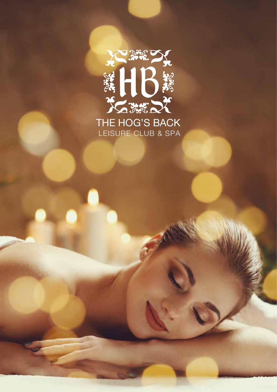

LEISURE CLUB & SPA